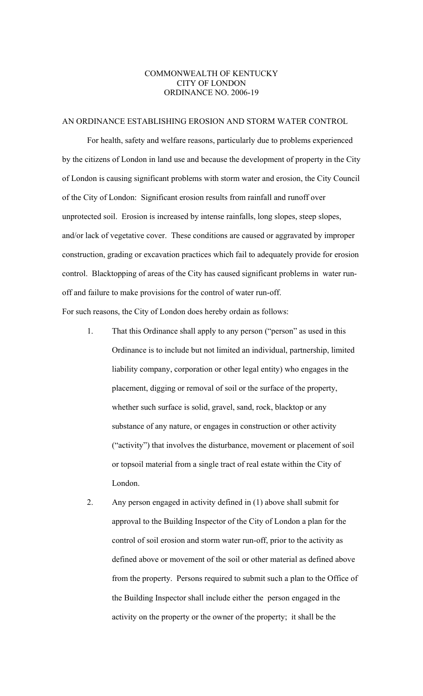## COMMONWEALTH OF KENTUCKY CITY OF LONDON ORDINANCE NO. 2006-19

## AN ORDINANCE ESTABLISHING EROSION AND STORM WATER CONTROL

 For health, safety and welfare reasons, particularly due to problems experienced by the citizens of London in land use and because the development of property in the City of London is causing significant problems with storm water and erosion, the City Council of the City of London: Significant erosion results from rainfall and runoff over unprotected soil. Erosion is increased by intense rainfalls, long slopes, steep slopes, and/or lack of vegetative cover. These conditions are caused or aggravated by improper construction, grading or excavation practices which fail to adequately provide for erosion control. Blacktopping of areas of the City has caused significant problems in water runoff and failure to make provisions for the control of water run-off.

For such reasons, the City of London does hereby ordain as follows:

- 1. That this Ordinance shall apply to any person ("person" as used in this Ordinance is to include but not limited an individual, partnership, limited liability company, corporation or other legal entity) who engages in the placement, digging or removal of soil or the surface of the property, whether such surface is solid, gravel, sand, rock, blacktop or any substance of any nature, or engages in construction or other activity ("activity") that involves the disturbance, movement or placement of soil or topsoil material from a single tract of real estate within the City of London.
- 2. Any person engaged in activity defined in (1) above shall submit for approval to the Building Inspector of the City of London a plan for the control of soil erosion and storm water run-off, prior to the activity as defined above or movement of the soil or other material as defined above from the property. Persons required to submit such a plan to the Office of the Building Inspector shall include either the person engaged in the activity on the property or the owner of the property; it shall be the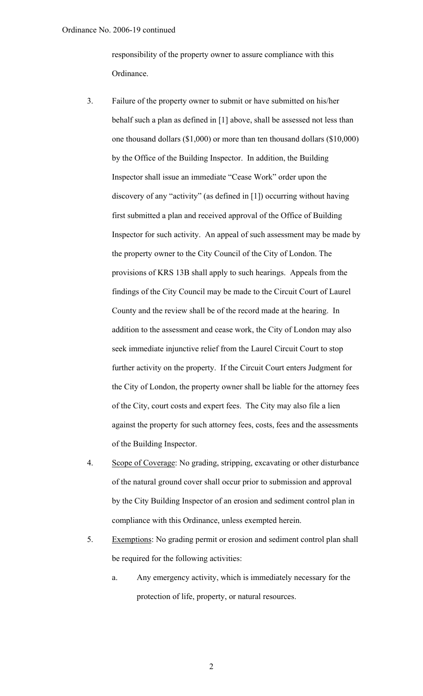responsibility of the property owner to assure compliance with this Ordinance.

- 3. Failure of the property owner to submit or have submitted on his/her behalf such a plan as defined in [1] above, shall be assessed not less than one thousand dollars (\$1,000) or more than ten thousand dollars (\$10,000) by the Office of the Building Inspector. In addition, the Building Inspector shall issue an immediate "Cease Work" order upon the discovery of any "activity" (as defined in [1]) occurring without having first submitted a plan and received approval of the Office of Building Inspector for such activity. An appeal of such assessment may be made by the property owner to the City Council of the City of London. The provisions of KRS 13B shall apply to such hearings. Appeals from the findings of the City Council may be made to the Circuit Court of Laurel County and the review shall be of the record made at the hearing. In addition to the assessment and cease work, the City of London may also seek immediate injunctive relief from the Laurel Circuit Court to stop further activity on the property. If the Circuit Court enters Judgment for the City of London, the property owner shall be liable for the attorney fees of the City, court costs and expert fees. The City may also file a lien against the property for such attorney fees, costs, fees and the assessments of the Building Inspector.
- 4. Scope of Coverage: No grading, stripping, excavating or other disturbance of the natural ground cover shall occur prior to submission and approval by the City Building Inspector of an erosion and sediment control plan in compliance with this Ordinance, unless exempted herein.
- 5. Exemptions: No grading permit or erosion and sediment control plan shall be required for the following activities:
	- a. Any emergency activity, which is immediately necessary for the protection of life, property, or natural resources.

2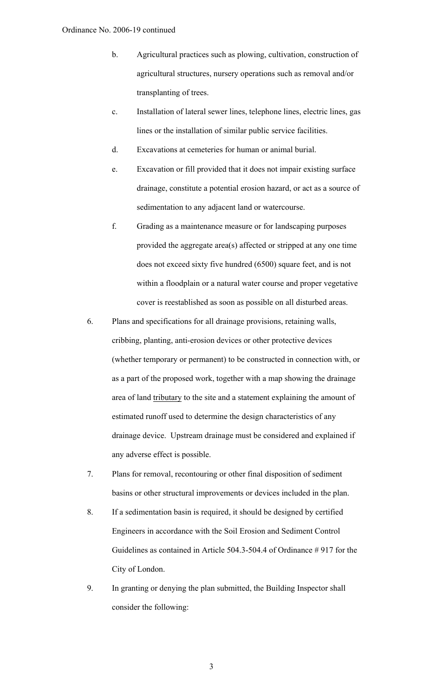- b. Agricultural practices such as plowing, cultivation, construction of agricultural structures, nursery operations such as removal and/or transplanting of trees.
- c. Installation of lateral sewer lines, telephone lines, electric lines, gas lines or the installation of similar public service facilities.
- d. Excavations at cemeteries for human or animal burial.
- e. Excavation or fill provided that it does not impair existing surface drainage, constitute a potential erosion hazard, or act as a source of sedimentation to any adjacent land or watercourse.
- f. Grading as a maintenance measure or for landscaping purposes provided the aggregate area(s) affected or stripped at any one time does not exceed sixty five hundred (6500) square feet, and is not within a floodplain or a natural water course and proper vegetative cover is reestablished as soon as possible on all disturbed areas.
- 6. Plans and specifications for all drainage provisions, retaining walls, cribbing, planting, anti-erosion devices or other protective devices (whether temporary or permanent) to be constructed in connection with, or as a part of the proposed work, together with a map showing the drainage area of land tributary to the site and a statement explaining the amount of estimated runoff used to determine the design characteristics of any drainage device. Upstream drainage must be considered and explained if any adverse effect is possible.
- 7. Plans for removal, recontouring or other final disposition of sediment basins or other structural improvements or devices included in the plan.
- 8. If a sedimentation basin is required, it should be designed by certified Engineers in accordance with the Soil Erosion and Sediment Control Guidelines as contained in Article 504.3-504.4 of Ordinance # 917 for the City of London.
- 9. In granting or denying the plan submitted, the Building Inspector shall consider the following:

3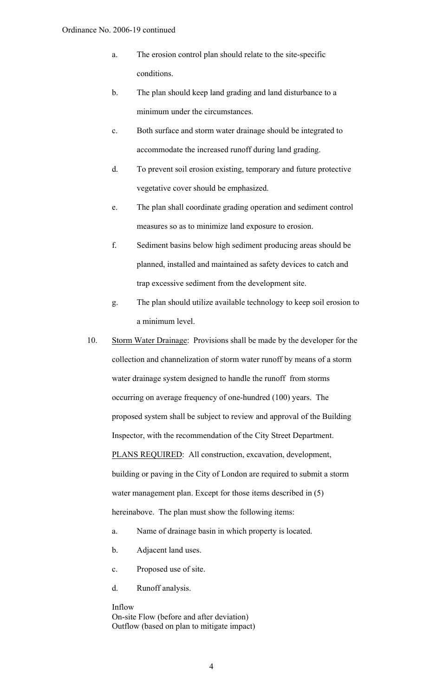- a. The erosion control plan should relate to the site-specific conditions.
- b. The plan should keep land grading and land disturbance to a minimum under the circumstances.
- c. Both surface and storm water drainage should be integrated to accommodate the increased runoff during land grading.
- d. To prevent soil erosion existing, temporary and future protective vegetative cover should be emphasized.
- e. The plan shall coordinate grading operation and sediment control measures so as to minimize land exposure to erosion.
- f. Sediment basins below high sediment producing areas should be planned, installed and maintained as safety devices to catch and trap excessive sediment from the development site.
- g. The plan should utilize available technology to keep soil erosion to a minimum level.
- 10. Storm Water Drainage: Provisions shall be made by the developer for the collection and channelization of storm water runoff by means of a storm water drainage system designed to handle the runoff from storms occurring on average frequency of one-hundred (100) years. The proposed system shall be subject to review and approval of the Building Inspector, with the recommendation of the City Street Department. PLANS REQUIRED: All construction, excavation, development, building or paving in the City of London are required to submit a storm water management plan. Except for those items described in  $(5)$ hereinabove. The plan must show the following items:
	- a. Name of drainage basin in which property is located.
	- b. Adjacent land uses.
	- c. Proposed use of site.
	- d. Runoff analysis.

Inflow On-site Flow (before and after deviation) Outflow (based on plan to mitigate impact)